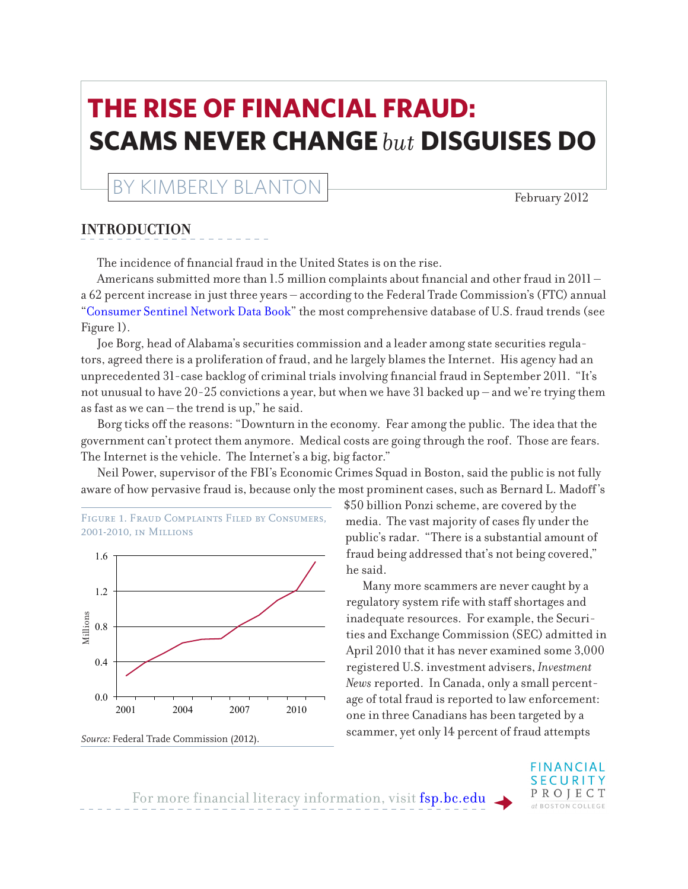# **THE RISE OF FINANCIAL FRAUD: SCAMS NEVER CHANGE** *but* **DISGUISES DO**

## KIMBERLY BLANTON February 2012

## **INTRODUCTION**

The incidence of financial fraud in the United States is on the rise.

Americans submitted more than  $1.5$  million complaints about financial and other fraud in  $2011$ a 62 percent increase in just three years – according to the Federal Trade Commission's (FTC) annual ["Consumer Sentinel Network Data Book"](http://www.ftc.gov/opa/2012/02/2011complaints.shtm) the most comprehensive database of U.S. fraud trends (see Figure 1).

Joe Borg, head of Alabama's securities commission and a leader among state securities regulators, agreed there is a proliferation of fraud, and he largely blames the Internet. His agency had an unprecedented 31-case backlog of criminal trials involving financial fraud in September 2011. "It's not unusual to have 20-25 convictions a year, but when we have 31 backed up – and we're trying them as fast as we can – the trend is up," he said.

Borg ticks off the reasons: "Downturn in the economy. Fear among the public. The idea that the government can't protect them anymore. Medical costs are going through the roof. Those are fears. The Internet is the vehicle. The Internet's a big, big factor."

Neil Power, supervisor of the FBI's Economic Crimes Squad in Boston, said the public is not fully aware of how pervasive fraud is, because only the most prominent cases, such as Bernard L. Madoff's





*Source:* Federal Trade Commission (2012).

\$50 billion Ponzi scheme, are covered by the media. The vast majority of cases fly under the public's radar. "There is a substantial amount of fraud being addressed that's not being covered," he said.

Many more scammers are never caught by a regulatory system rife with staff shortages and inadequate resources. For example, the Securities and Exchange Commission (SEC) admitted in April 2010 that it has never examined some 3,000 registered U.S. investment advisers, *Investment News* reported. In Canada, only a small percentage of total fraud is reported to law enforcement: one in three Canadians has been targeted by a scammer, yet only 14 percent of fraud attempts

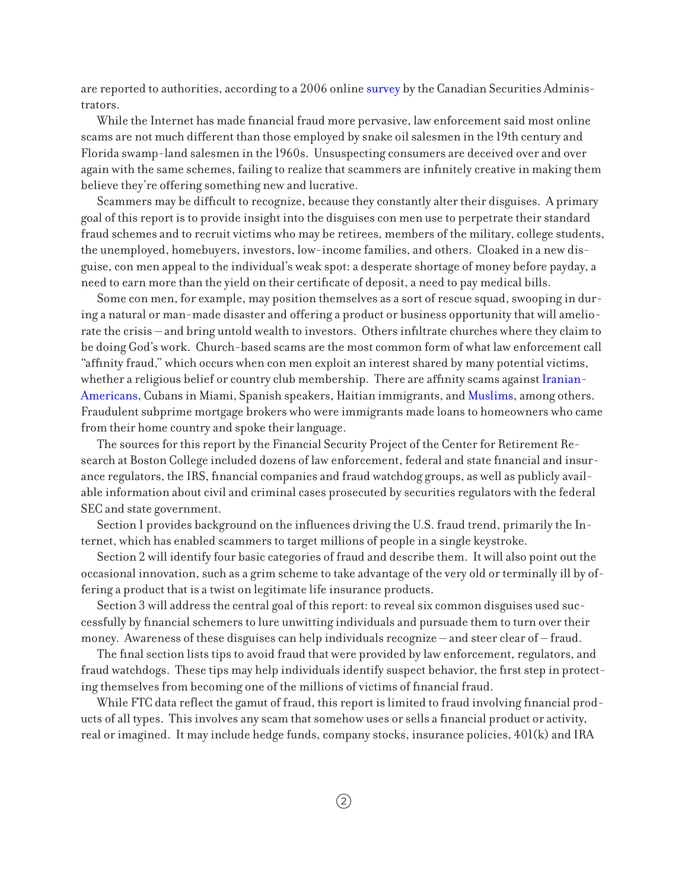are reported to authorities, according to a 2006 online [survey](http://www.msc.gov.mb.ca/about_msc/csa_inv_index_oct_2006.pdf) by the Canadian Securities Administrators.

While the Internet has made financial fraud more pervasive, law enforcement said most online scams are not much different than those employed by snake oil salesmen in the 19th century and Florida swamp-land salesmen in the 1960s. Unsuspecting consumers are deceived over and over again with the same schemes, failing to realize that scammers are infinitely creative in making them believe they're offering something new and lucrative.

Scammers may be difficult to recognize, because they constantly alter their disguises. A primary goal of this report is to provide insight into the disguises con men use to perpetrate their standard fraud schemes and to recruit victims who may be retirees, members of the military, college students, the unemployed, homebuyers, investors, low-income families, and others. Cloaked in a new disguise, con men appeal to the individual's weak spot: a desperate shortage of money before payday, a need to earn more than the yield on their certificate of deposit, a need to pay medical bills.

Some con men, for example, may position themselves as a sort of rescue squad, swooping in during a natural or man-made disaster and offering a product or business opportunity that will ameliorate the crisis – and bring untold wealth to investors. Others infiltrate churches where they claim to be doing God's work. Church-based scams are the most common form of what law enforcement call "affinity fraud," which occurs when con men exploit an interest shared by many potential victims, whether a religious belief or country club membership. There are affinity scams against [Iranian-](http://sec.gov/news/press/2010/2010-3.htm)[Americans,](http://sec.gov/news/press/2010/2010-3.htm) Cubans in Miami, Spanish speakers, Haitian immigrants, and [Muslims](http://www.cyberdriveillinois.com/departments/securities/administrative_actions/2008/september/sunriseequities_top.pdf), among others. Fraudulent subprime mortgage brokers who were immigrants made loans to homeowners who came from their home country and spoke their language.

The sources for this report by the Financial Security Project of the Center for Retirement Research at Boston College included dozens of law enforcement, federal and state financial and insurance regulators, the IRS, financial companies and fraud watchdog groups, as well as publicly available information about civil and criminal cases prosecuted by securities regulators with the federal SEC and state government.

Section 1 provides background on the influences driving the U.S. fraud trend, primarily the Internet, which has enabled scammers to target millions of people in a single keystroke.

Section 2 will identify four basic categories of fraud and describe them. It will also point out the occasional innovation, such as a grim scheme to take advantage of the very old or terminally ill by offering a product that is a twist on legitimate life insurance products.

Section 3 will address the central goal of this report: to reveal six common disguises used successfully by financial schemers to lure unwitting individuals and pursuade them to turn over their money. Awareness of these disguises can help individuals recognize – and steer clear of – fraud.

The final section lists tips to avoid fraud that were provided by law enforcement, regulators, and fraud watchdogs. These tips may help individuals identify suspect behavior, the first step in protecting themselves from becoming one of the millions of victims of financial fraud.

While FTC data reflect the gamut of fraud, this report is limited to fraud involving financial products of all types. This involves any scam that somehow uses or sells a financial product or activity, real or imagined. It may include hedge funds, company stocks, insurance policies, 401(k) and IRA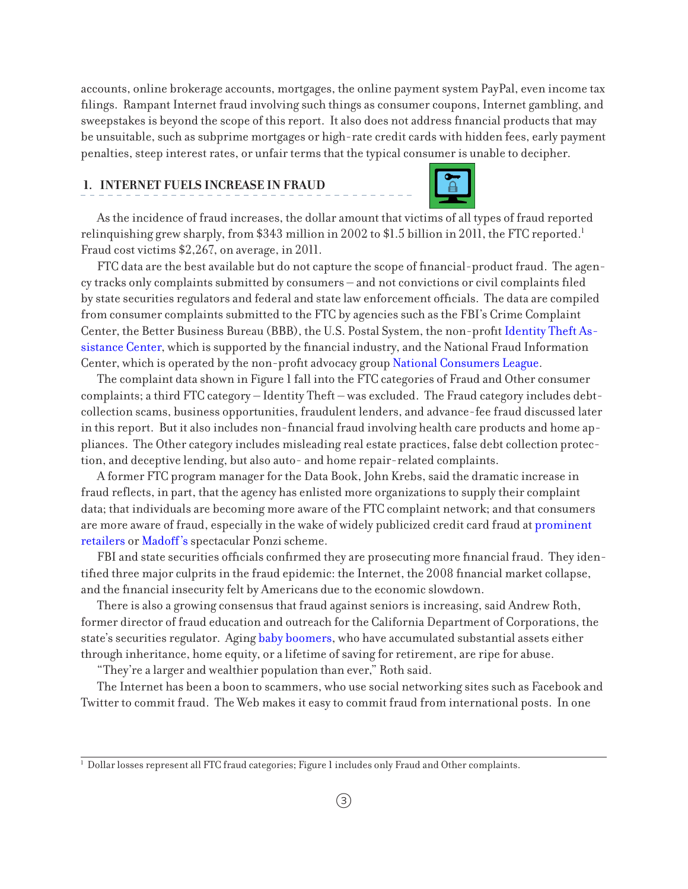accounts, online brokerage accounts, mortgages, the online payment system PayPal, even income tax filings. Rampant Internet fraud involving such things as consumer coupons, Internet gambling, and sweepstakes is beyond the scope of this report. It also does not address financial products that may be unsuitable, such as subprime mortgages or high-rate credit cards with hidden fees, early payment penalties, steep interest rates, or unfair terms that the typical consumer is unable to decipher.

### **1. INTERNET FUELS INCREASE IN FRAUD**



As the incidence of fraud increases, the dollar amount that victims of all types of fraud reported relinquishing grew sharply, from \$343 million in 2002 to \$1.5 billion in 2011, the FTC reported.<sup>1</sup> Fraud cost victims \$2,267, on average, in 2011.

FTC data are the best available but do not capture the scope of financial-product fraud. The agency tracks only complaints submitted by consumers – and not convictions or civil complaints filed by state securities regulators and federal and state law enforcement officials. The data are compiled from consumer complaints submitted to the FTC by agencies such as the FBI's Crime Complaint Center, the Better Business Bureau (BBB), the U.S. Postal System, the non-profit [Identity Theft As](http://www.identitytheftassistance.org/)[sistance Center,](http://www.identitytheftassistance.org/) which is supported by the financial industry, and the National Fraud Information Center, which is operated by the non-profit advocacy group [National Consumers League.](http://www.nclnet.org/)

The complaint data shown in Figure 1 fall into the FTC categories of Fraud and Other consumer complaints; a third FTC category – Identity Theft – was excluded. The Fraud category includes debtcollection scams, business opportunities, fraudulent lenders, and advance-fee fraud discussed later in this report. But it also includes non-financial fraud involving health care products and home appliances. The Other category includes misleading real estate practices, false debt collection protection, and deceptive lending, but also auto- and home repair-related complaints.

A former FTC program manager for the Data Book, John Krebs, said the dramatic increase in fraud reflects, in part, that the agency has enlisted more organizations to supply their complaint data; that individuals are becoming more aware of the FTC complaint network; and that consumers are more aware of fraud, especially in the wake of widely publicized credit card fraud at [prominent](http://www.prnewswire.com/news-releases/leader-of-hacking-ring-sentenced-for-massive-identity-thefts-from-payment-processor-and-us-retail-networks-89297862.html)  [retailers](http://www.prnewswire.com/news-releases/leader-of-hacking-ring-sentenced-for-massive-identity-thefts-from-payment-processor-and-us-retail-networks-89297862.html) or [Madoff's](http://www.nytimes.com/2009/06/30/business/30madoff.html) spectacular Ponzi scheme.

FBI and state securities officials confirmed they are prosecuting more financial fraud. They identified three major culprits in the fraud epidemic: the Internet, the 2008 financial market collapse, and the financial insecurity felt by Americans due to the economic slowdown.

There is also a growing consensus that fraud against seniors is increasing, said Andrew Roth, former director of fraud education and outreach for the California Department of Corporations, the state's securities regulator. Aging [baby boomers](http://crr.bc.edu/briefs/the-rise-of-financial-fraud/), who have accumulated substantial assets either through inheritance, home equity, or a lifetime of saving for retirement, are ripe for abuse.

"They're a larger and wealthier population than ever," Roth said.

The Internet has been a boon to scammers, who use social networking sites such as Facebook and Twitter to commit fraud. The Web makes it easy to commit fraud from international posts. In one

 $^{\rm 1}$  Dollar losses represent all FTC fraud categories; Figure 1 includes only Fraud and Other complaints.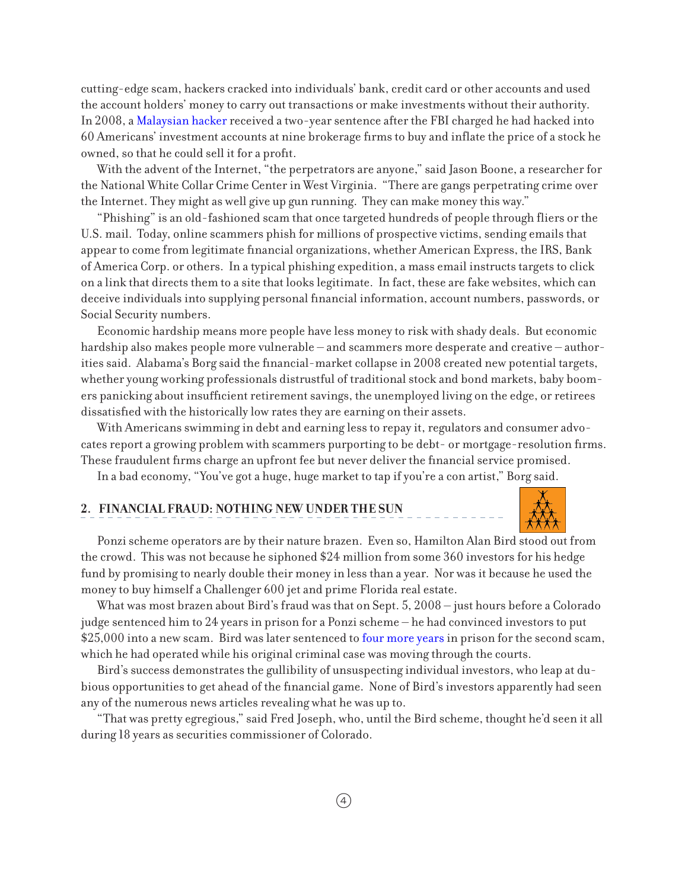cutting-edge scam, hackers cracked into individuals' bank, credit card or other accounts and used the account holders' money to carry out transactions or make investments without their authority. In 2008, a [Malaysian hacker](http://www.justice.gov/opa/pr/2008/September/08-crm-795.html) received a two-year sentence after the FBI charged he had hacked into 60 Americans' investment accounts at nine brokerage firms to buy and inflate the price of a stock he owned, so that he could sell it for a profit.

With the advent of the Internet, "the perpetrators are anyone," said Jason Boone, a researcher for the National White Collar Crime Center in West Virginia. "There are gangs perpetrating crime over the Internet. They might as well give up gun running. They can make money this way."

"Phishing" is an old-fashioned scam that once targeted hundreds of people through fliers or the U.S. mail. Today, online scammers phish for millions of prospective victims, sending emails that appear to come from legitimate financial organizations, whether American Express, the IRS, Bank of America Corp. or others. In a typical phishing expedition, a mass email instructs targets to click on a link that directs them to a site that looks legitimate. In fact, these are fake websites, which can deceive individuals into supplying personal financial information, account numbers, passwords, or Social Security numbers.

Economic hardship means more people have less money to risk with shady deals. But economic hardship also makes people more vulnerable – and scammers more desperate and creative – authorities said. Alabama's Borg said the financial-market collapse in 2008 created new potential targets, whether young working professionals distrustful of traditional stock and bond markets, baby boomers panicking about insufficient retirement savings, the unemployed living on the edge, or retirees dissatisfied with the historically low rates they are earning on their assets.

With Americans swimming in debt and earning less to repay it, regulators and consumer advocates report a growing problem with scammers purporting to be debt- or mortgage-resolution firms. These fraudulent firms charge an upfront fee but never deliver the financial service promised.

In a bad economy, "You've got a huge, huge market to tap if you're a con artist," Borg said.

#### **2. FINANCIAL FRAUD: NOTHING NEW UNDER THE SUN**



Ponzi scheme operators are by their nature brazen. Even so, Hamilton Alan Bird stood out from the crowd. This was not because he siphoned \$24 million from some 360 investors for his hedge fund by promising to nearly double their money in less than a year. Nor was it because he used the money to buy himself a Challenger 600 jet and prime Florida real estate.

What was most brazen about Bird's fraud was that on Sept. 5, 2008 – just hours before a Colorado judge sentenced him to 24 years in prison for a Ponzi scheme – he had convinced investors to put \$25,000 into a new scam. Bird was later sentenced to [four more years](http://www.gazette.com/articles/scam-102176-prison-years.html) in prison for the second scam, which he had operated while his original criminal case was moving through the courts.

Bird's success demonstrates the gullibility of unsuspecting individual investors, who leap at dubious opportunities to get ahead of the financial game. None of Bird's investors apparently had seen any of the numerous news articles revealing what he was up to.

"That was pretty egregious," said Fred Joseph, who, until the Bird scheme, thought he'd seen it all during 18 years as securities commissioner of Colorado.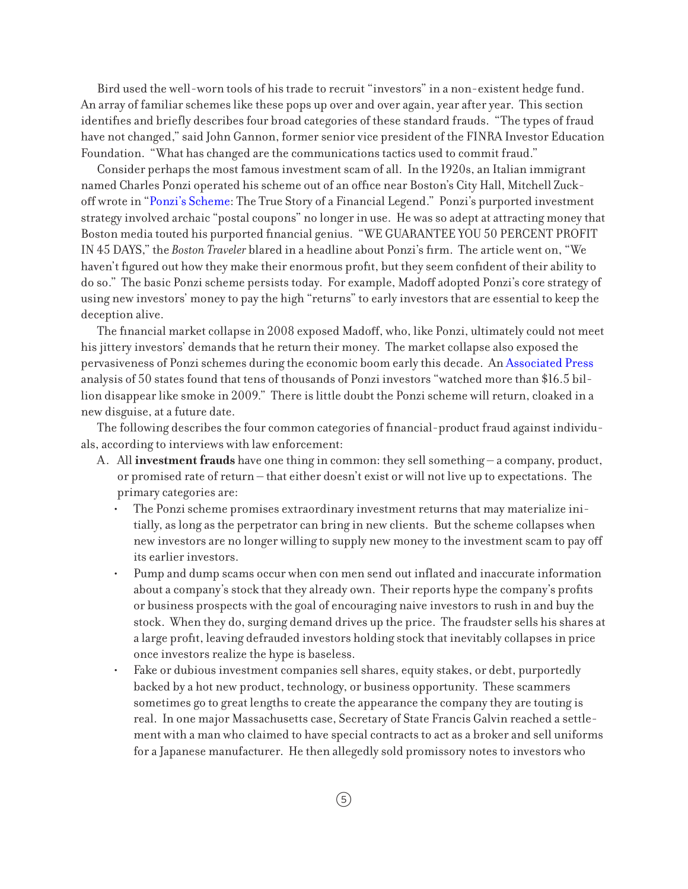Bird used the well-worn tools of his trade to recruit "investors" in a non-existent hedge fund. An array of familiar schemes like these pops up over and over again, year after year. This section identifies and briefly describes four broad categories of these standard frauds. "The types of fraud have not changed," said John Gannon, former senior vice president of the FINRA Investor Education Foundation. "What has changed are the communications tactics used to commit fraud."

Consider perhaps the most famous investment scam of all. In the 1920s, an Italian immigrant named Charles Ponzi operated his scheme out of an office near Boston's City Hall, Mitchell Zuckoff wrote in "[Ponzi's Scheme:](http://www.mitchellzuckoff.com/ponzi/) The True Story of a Financial Legend." Ponzi's purported investment strategy involved archaic "postal coupons" no longer in use. He was so adept at attracting money that Boston media touted his purported financial genius. "WE GUARANTEE YOU 50 PERCENT PROFIT IN 45 DAYS," the *Boston Traveler* blared in a headline about Ponzi's firm. The article went on, "We haven't figured out how they make their enormous profit, but they seem confident of their ability to do so." The basic Ponzi scheme persists today. For example, Madoff adopted Ponzi's core strategy of using new investors' money to pay the high "returns" to early investors that are essential to keep the deception alive.

The financial market collapse in 2008 exposed Madoff, who, like Ponzi, ultimately could not meet his jittery investors' demands that he return their money. The market collapse also exposed the pervasiveness of Ponzi schemes during the economic boom early this decade. An [Associated Press](http://www.law.com/jsp/article.jsp?id=1202437299784) analysis of 50 states found that tens of thousands of Ponzi investors "watched more than \$16.5 billion disappear like smoke in 2009." There is little doubt the Ponzi scheme will return, cloaked in a new disguise, at a future date.

The following describes the four common categories of financial-product fraud against individuals, according to interviews with law enforcement:

- A. All **investment frauds** have one thing in common: they sell something a company, product, or promised rate of return – that either doesn't exist or will not live up to expectations. The primary categories are:
	- The Ponzi scheme promises extraordinary investment returns that may materialize initially, as long as the perpetrator can bring in new clients. But the scheme collapses when new investors are no longer willing to supply new money to the investment scam to pay off its earlier investors.
	- Pump and dump scams occur when con men send out inflated and inaccurate information about a company's stock that they already own. Their reports hype the company's profits or business prospects with the goal of encouraging naive investors to rush in and buy the stock. When they do, surging demand drives up the price. The fraudster sells his shares at a large profit, leaving defrauded investors holding stock that inevitably collapses in price once investors realize the hype is baseless.
	- Fake or dubious investment companies sell shares, equity stakes, or debt, purportedly backed by a hot new product, technology, or business opportunity. These scammers sometimes go to great lengths to create the appearance the company they are touting is real. In one major Massachusetts case, Secretary of State Francis Galvin reached a settlement with a man who claimed to have special contracts to act as a broker and sell uniforms for a Japanese manufacturer. He then allegedly sold promissory notes to investors who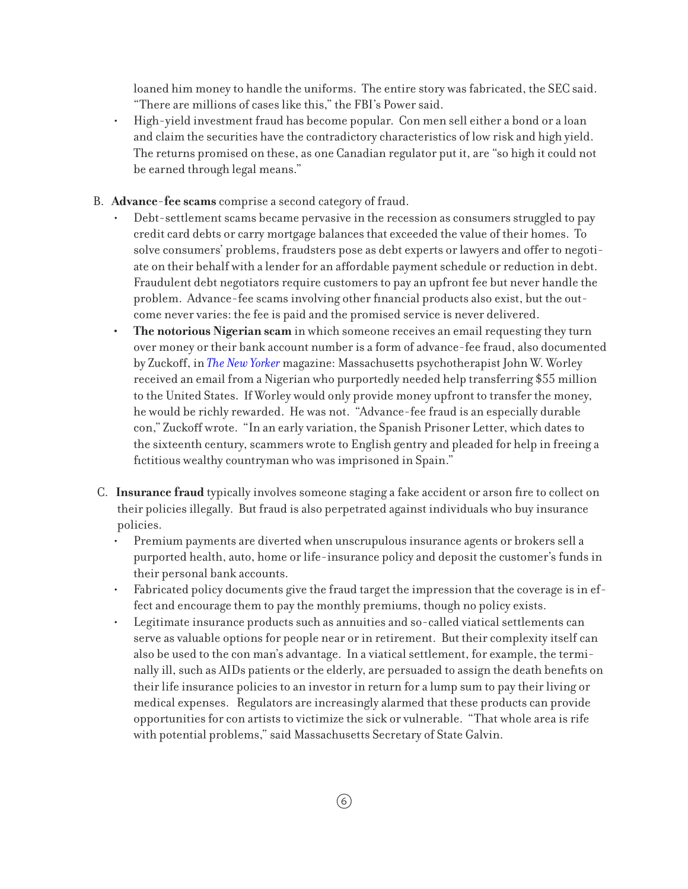loaned him money to handle the uniforms. The entire story was fabricated, the SEC said. "There are millions of cases like this," the FBI's Power said.

- High-yield investment fraud has become popular. Con men sell either a bond or a loan and claim the securities have the contradictory characteristics of low risk and high yield. The returns promised on these, as one Canadian regulator put it, are "so high it could not be earned through legal means."
- B. **Advance-fee scams** comprise a second category of fraud.
	- Debt-settlement scams became pervasive in the recession as consumers struggled to pay credit card debts or carry mortgage balances that exceeded the value of their homes. To solve consumers' problems, fraudsters pose as debt experts or lawyers and offer to negotiate on their behalf with a lender for an affordable payment schedule or reduction in debt. Fraudulent debt negotiators require customers to pay an upfront fee but never handle the problem. Advance-fee scams involving other financial products also exist, but the outcome never varies: the fee is paid and the promised service is never delivered.
	- **The notorious Nigerian scam** in which someone receives an email requesting they turn over money or their bank account number is a form of advance-fee fraud, also documented by Zuckoff, in *[The New Yorker](http://www.newyorker.com/archive/2006/05/15/060515fa_fact)* magazine: Massachusetts psychotherapist John W. Worley received an email from a Nigerian who purportedly needed help transferring \$55 million to the United States. If Worley would only provide money upfront to transfer the money, he would be richly rewarded. He was not. "Advance-fee fraud is an especially durable con," Zuckoff wrote. "In an early variation, the Spanish Prisoner Letter, which dates to the sixteenth century, scammers wrote to English gentry and pleaded for help in freeing a fictitious wealthy countryman who was imprisoned in Spain."
- C. **Insurance fraud** typically involves someone staging a fake accident or arson fire to collect on their policies illegally. But fraud is also perpetrated against individuals who buy insurance policies.
	- • Premium payments are diverted when unscrupulous insurance agents or brokers sell a purported health, auto, home or life-insurance policy and deposit the customer's funds in their personal bank accounts.
	- Fabricated policy documents give the fraud target the impression that the coverage is in effect and encourage them to pay the monthly premiums, though no policy exists.
	- Legitimate insurance products such as annuities and so-called viatical settlements can serve as valuable options for people near or in retirement. But their complexity itself can also be used to the con man's advantage. In a viatical settlement, for example, the terminally ill, such as AIDs patients or the elderly, are persuaded to assign the death benefits on their life insurance policies to an investor in return for a lump sum to pay their living or medical expenses. Regulators are increasingly alarmed that these products can provide opportunities for con artists to victimize the sick or vulnerable. "That whole area is rife with potential problems," said Massachusetts Secretary of State Galvin.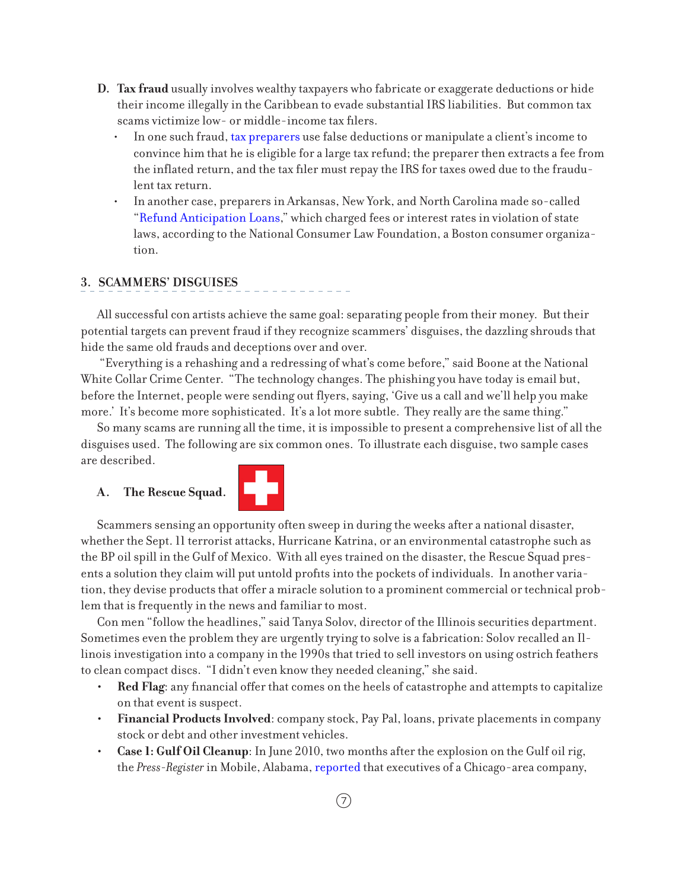- **D. Tax fraud** usually involves wealthy taxpayers who fabricate or exaggerate deductions or hide their income illegally in the Caribbean to evade substantial IRS liabilities. But common tax scams victimize low- or middle-income tax filers.
	- In one such fraud, [tax preparers](http://www.irs.gov/newsroom/article/0,,id=202123,00.html) use false deductions or manipulate a client's income to convince him that he is eligible for a large tax refund; the preparer then extracts a fee from the inflated return, and the tax filer must repay the IRS for taxes owed due to the fraudulent tax return.
	- In another case, preparers in Arkansas, New York, and North Carolina made so-called "[Refund Anticipation Loans](http://www.nclc.org/images/pdf/high_cost_small_loans/ral/mystery_ral_report.pdf)," which charged fees or interest rates in violation of state laws, according to the National Consumer Law Foundation, a Boston consumer organization.

#### **3. SCAMMERS' DISGUISES**

All successful con artists achieve the same goal: separating people from their money. But their potential targets can prevent fraud if they recognize scammers' disguises, the dazzling shrouds that hide the same old frauds and deceptions over and over.

 "Everything is a rehashing and a redressing of what's come before," said Boone at the National White Collar Crime Center. "The technology changes. The phishing you have today is email but, before the Internet, people were sending out flyers, saying, 'Give us a call and we'll help you make more.' It's become more sophisticated. It's a lot more subtle. They really are the same thing."

So many scams are running all the time, it is impossible to present a comprehensive list of all the disguises used. The following are six common ones. To illustrate each disguise, two sample cases are described.

#### **A. The Rescue Squad.**



Scammers sensing an opportunity often sweep in during the weeks after a national disaster, whether the Sept. 11 terrorist attacks, Hurricane Katrina, or an environmental catastrophe such as the BP oil spill in the Gulf of Mexico. With all eyes trained on the disaster, the Rescue Squad presents a solution they claim will put untold profits into the pockets of individuals. In another variation, they devise products that offer a miracle solution to a prominent commercial or technical problem that is frequently in the news and familiar to most.

Con men "follow the headlines," said Tanya Solov, director of the Illinois securities department. Sometimes even the problem they are urgently trying to solve is a fabrication: Solov recalled an Illinois investigation into a company in the 1990s that tried to sell investors on using ostrich feathers to clean compact discs. "I didn't even know they needed cleaning," she said.

- **Red Flag**: any financial offer that comes on the heels of catastrophe and attempts to capitalize on that event is suspect.
- **• Financial Products Involved**: company stock, Pay Pal, loans, private placements in company stock or debt and other investment vehicles.
- **Case 1: Gulf Oil Cleanup**: In June 2010, two months after the explosion on the Gulf oil rig, the *Press-Register* in Mobile, Alabama, [reported](http://blog.al.com/live/2010/06/company_pitching_miracle_oil_s.html) that executives of a Chicago-area company,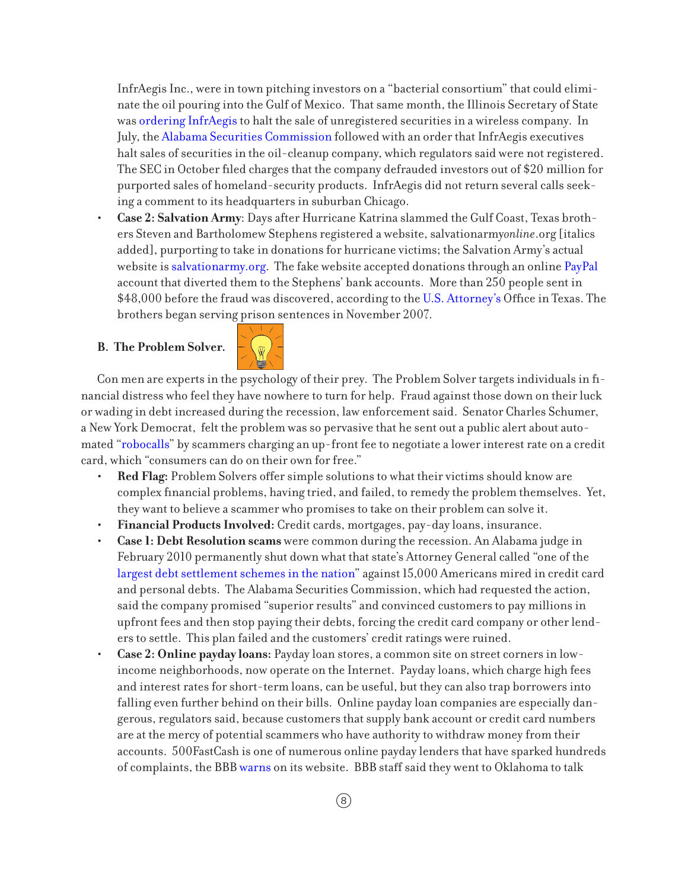InfrAegis Inc., were in town pitching investors on a "bacterial consortium" that could eliminate the oil pouring into the Gulf of Mexico. That same month, the Illinois Secretary of State was [ordering InfrAegis](http://ilsos.net/departments/securities/administrative_actions/2010/june/gregorywebb_co.pdf) to halt the sale of unregistered securities in a wireless company. In July, the [Alabama Securities](http://www.asc.state.al.us/News/2010 News/7-9-10 InfrAegis CD order.pdf) [Commission](http://www.asc.state.al.us/News/2010 News/7-9-10 InfrAegis CD order.pdf) followed with an order that InfrAegis executives halt sales of securities in the oil-cleanup company, which regulators said were not registered. The SEC in October filed charges that the company defrauded investors out of \$20 million for purported sales of homeland-security products. InfrAegis did not return several calls seeking a comment to its headquarters in suburban Chicago.

**Case 2: Salvation Army**: Days after Hurricane Katrina slammed the Gulf Coast, Texas brothers Steven and Bartholomew Stephens registered a website, salvationarmy*online*.org [italics] added], purporting to take in donations for hurricane victims; the Salvation Army's actual website is [salvationarmy.org.](http://www.salvationarmy.org/) The fake website accepted donations through an online [PayPal](https://www.paypal.com/) account that diverted them to the Stephens' bank accounts. More than 250 people sent in \$48,000 before the fraud was discovered, according to the [U.S. Attorney's](http://www.justice.gov/criminal/cybercrime/stephensSent.htm) Office in Texas. The brothers began serving prison sentences in November 2007.

#### **B. The Problem Solver.**



Con men are experts in the psychology of their prey. The Problem Solver targets individuals in financial distress who feel they have nowhere to turn for help. Fraud against those down on their luck or wading in debt increased during the recession, law enforcement said. Senator Charles Schumer, a New York Democrat, felt the problem was so pervasive that he sent out a public alert about automated ["robocalls](http://www.nydailynews.com/news/2009/05/26/2009-05-26_chuck_adding_credit_calls_to_phone_hit_list.html)" by scammers charging an up-front fee to negotiate a lower interest rate on a credit card, which "consumers can do on their own for free."

- **Red Flag:** Problem Solvers offer simple solutions to what their victims should know are complex financial problems, having tried, and failed, to remedy the problem themselves. Yet, they want to believe a scammer who promises to take on their problem can solve it.
- **Financial Products Involved:** Credit cards, mortgages, pay-day loans, insurance.
- **Case 1: Debt Resolution scams** were common during the recession. An Alabama judge in February 2010 permanently shut down what that state's Attorney General called "one of the [largest debt settlement schemes in the nation"](http://www.bizjournals.com/birmingham/stories/2010/02/22/daily23.html) against 15,000 Americans mired in credit card and personal debts. The Alabama Securities Commission, which had requested the action, said the company promised "superior results" and convinced customers to pay millions in upfront fees and then stop paying their debts, forcing the credit card company or other lenders to settle. This plan failed and the customers' credit ratings were ruined.
- **Case 2: Online payday loans:** Payday loan stores, a common site on street corners in lowincome neighborhoods, now operate on the Internet. Payday loans, which charge high fees and interest rates for short-term loans, can be useful, but they can also trap borrowers into falling even further behind on their bills. Online payday loan companies are especially dangerous, regulators said, because customers that supply bank account or credit card numbers are at the mercy of potential scammers who have authority to withdraw money from their accounts. 500FastCash is one of numerous online payday lenders that have sparked hundreds of complaints, the BBB [warns](http://www.bbb.org/tulsa/business-reviews/payday-loans/500-fastcash-in-miami-ok-38005696) on its website. BBB staff said they went to Oklahoma to talk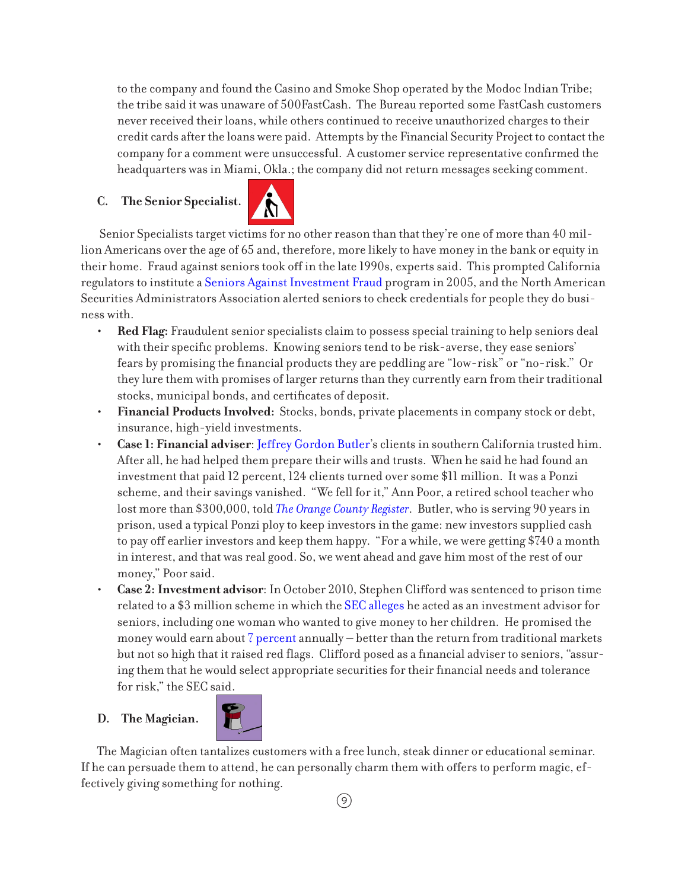to the company and found the Casino and Smoke Shop operated by the Modoc Indian Tribe; the tribe said it was unaware of 500FastCash. The Bureau reported some FastCash customers never received their loans, while others continued to receive unauthorized charges to their credit cards after the loans were paid. Attempts by the Financial Security Project to contact the company for a comment were unsuccessful. A customer service representative confirmed the headquarters was in Miami, Okla.; the company did not return messages seeking comment.

## **C. The Senior Specialist.**



 Senior Specialists target victims for no other reason than that they're one of more than 40 million Americans over the age of 65 and, therefore, more likely to have money in the bank or equity in their home. Fraud against seniors took off in the late 1990s, experts said. This prompted California regulators to institute a [Seniors Against Investment Fraud](http://www.corp.ca.gov/Consumer/SAIF/Default.asp) program in 2005, and the North American Securities Administrators Association alerted seniors to check credentials for people they do business with.

- **Red Flag:** Fraudulent senior specialists claim to possess special training to help seniors deal with their specific problems. Knowing seniors tend to be risk-averse, they ease seniors' fears by promising the financial products they are peddling are "low-risk" or "no-risk." Or they lure them with promises of larger returns than they currently earn from their traditional stocks, municipal bonds, and certificates of deposit.
- **• Financial Products Involved:** Stocks, bonds, private placements in company stock or debt, insurance, high-yield investments.
- Case 1: Financial adviser: [Jeffrey Gordon Butler](http://www.ocregister.com/articles/butler-226871-investors-counts.html)'s clients in southern California trusted him. After all, he had helped them prepare their wills and trusts. When he said he had found an investment that paid 12 percent, 124 clients turned over some \$11 million. It was a Ponzi scheme, and their savings vanished. "We fell for it," Ann Poor, a retired school teacher who lost more than \$300,000, told *[The Orange County Register](http://www.ocregister.com/articles/butler-35578-overtoom-money.html)*. Butler, who is serving 90 years in prison, used a typical Ponzi ploy to keep investors in the game: new investors supplied cash to pay off earlier investors and keep them happy. "For a while, we were getting \$740 a month in interest, and that was real good. So, we went ahead and gave him most of the rest of our money," Poor said.
- **Case 2: Investment advisor**: In October 2010, Stephen Clifford was sentenced to prison time related to a \$3 million scheme in which the [SEC alleges](http://www.sec.gov/litigation/litreleases/2010/lr21762.htm) he acted as an investment advisor for seniors, including one woman who wanted to give money to her children. He promised the money would earn about [7 percent](http://www.boston.com/news/local/massachusetts/articles/2010/05/13/con_man_stephen_clifford_leaves_much_damage_in_his_wake/) annually – better than the return from traditional markets but not so high that it raised red flags. Clifford posed as a financial adviser to seniors, "assuring them that he would select appropriate securities for their financial needs and tolerance for risk," the SEC said.

## **D. The Magician.**



The Magician often tantalizes customers with a free lunch, steak dinner or educational seminar. If he can persuade them to attend, he can personally charm them with offers to perform magic, effectively giving something for nothing.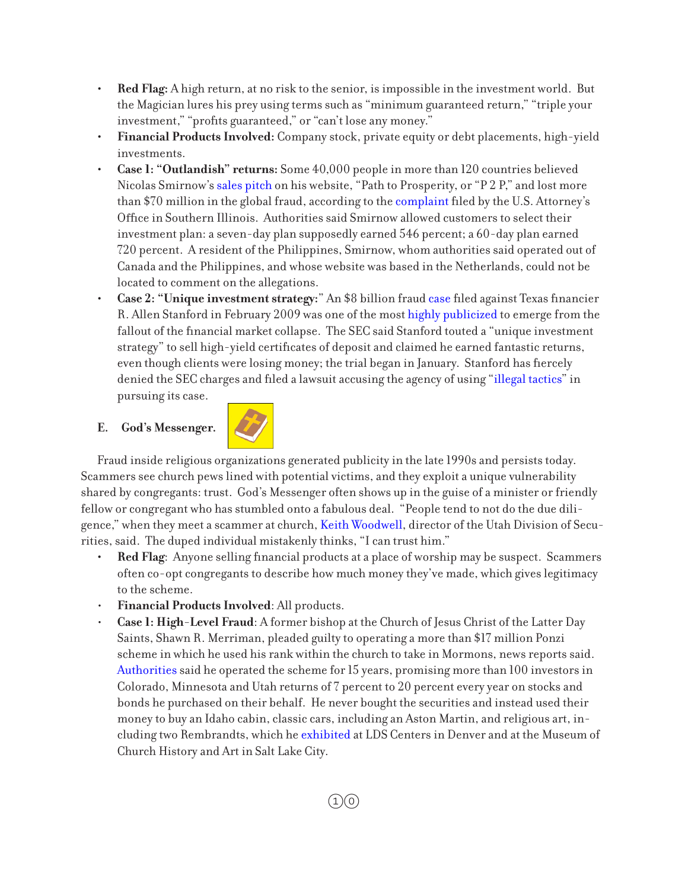- Red Flag: A high return, at no risk to the senior, is impossible in the investment world. But the Magician lures his prey using terms such as "minimum guaranteed return," "triple your investment," "profits guaranteed," or "can't lose any money."
- **Financial Products Involved:** Company stock, private equity or debt placements, high-yield investments.
- **Case 1: "Outlandish" returns:** Some 40,000 people in more than 120 countries believed Nicolas Smirnow's [sales pitch](http://www.huffingtonpost.com/2010/05/31/nicholas-smirnow-ponzi-scheme_n_595511.html) on his website, "Path to Prosperity, or "P 2 P," and lost more than \$70 million in the global fraud, according to the [complaint](http://www.justice.gov/usao/ils/Programs/VWA/Smirnow/r_Compaint.pdf) filed by the U.S. Attorney's Office in Southern Illinois. Authorities said Smirnow allowed customers to select their investment plan: a seven-day plan supposedly earned 546 percent; a 60-day plan earned 720 percent. A resident of the Philippines, Smirnow, whom authorities said operated out of Canada and the Philippines, and whose website was based in the Netherlands, could not be located to comment on the allegations.
- **Case 2: "Unique investment strategy:"** An \$8 billion fraud [case](http://www.sec.gov/litigation/complaints/2009/comp20901.pdf) filed against Texas financier R. Allen Stanford in February 2009 was one of the most [highly publicized](http://www.nytimes.com/2009/02/18/business/18stanford.html?_r=2) to emerge from the fallout of the financial market collapse. The SEC said Stanford touted a "unique investment strategy" to sell high-yield certificates of deposit and claimed he earned fantastic returns, even though clients were losing money; the trial began in January. Stanford has fiercely denied the SEC charges and filed a lawsuit accusing the agency of using "[illegal tactics"](http://www.huffingtonpost.com/2009/04/20/allen-stanford-alleged-fr_n_189234.html) in pursuing its case.

## **E. God's Messenger.**



Fraud inside religious organizations generated publicity in the late 1990s and persists today. Scammers see church pews lined with potential victims, and they exploit a unique vulnerability shared by congregants: trust. God's Messenger often shows up in the guise of a minister or friendly fellow or congregant who has stumbled onto a fabulous deal. "People tend to not do the due diligence," when they meet a scammer at church, [Keith Woodwell](http://www.heraldextra.com/news/local/article_7c2429f4-a9ed-5ce2-af14-a40ed6c7b8bc.html), director of the Utah Division of Securities, said. The duped individual mistakenly thinks, "I can trust him."

- **Red Flag**: Anyone selling financial products at a place of worship may be suspect. Scammers often co-opt congregants to describe how much money they've made, which gives legitimacy to the scheme.
- **Financial Products Involved:** All products.
- **Case 1: High-Level Fraud:** A former bishop at the Church of Jesus Christ of the Latter Day Saints, Shawn R. Merriman, pleaded guilty to operating a more than \$17 million Ponzi scheme in which he used his rank within the church to take in Mormons, news reports said. [Authorities](http://www.justice.gov/usao/co/press_releases/archive/2009/December09/12_2_09.html) said he operated the scheme for 15 years, promising more than 100 investors in Colorado, Minnesota and Utah returns of 7 percent to 20 percent every year on stocks and bonds he purchased on their behalf. He never bought the securities and instead used their money to buy an Idaho cabin, classic cars, including an Aston Martin, and religious art, including two Rembrandts, which he [exhibited](http://www.mormontimes.com/article/11853/Biblical-art-exhibit-warms-hearts-in-Denver) at LDS Centers in Denver and at the Museum of Church History and Art in Salt Lake City.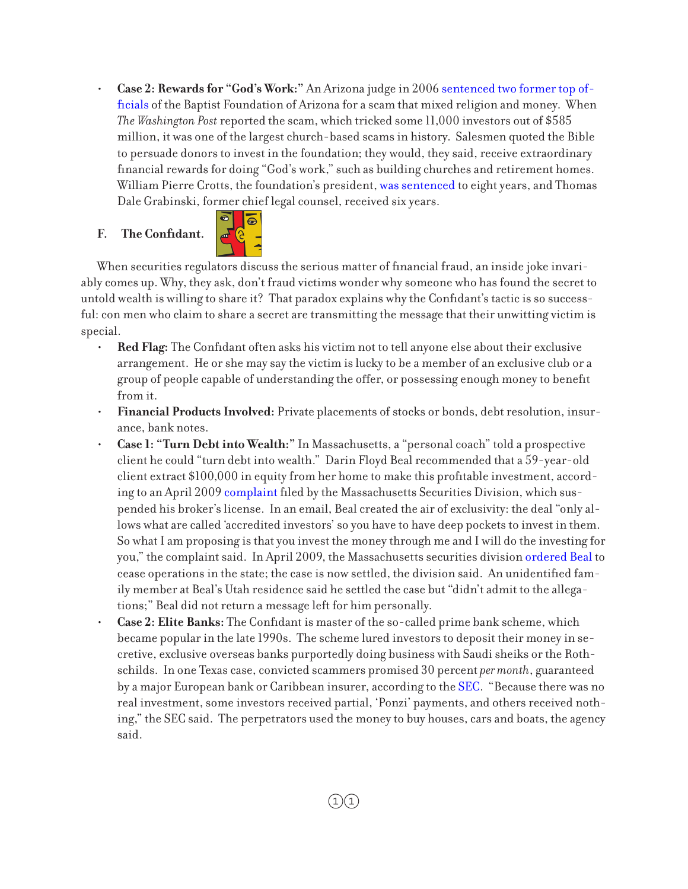**Case 2: Rewards for "God's Work:"** An Arizona judge in 2006 [sentenced two former top of](http://www.washingtonpost.com/wp-dyn/content/article/2006/09/30/AR2006093000928.html)[ficials](http://www.washingtonpost.com/wp-dyn/content/article/2006/09/30/AR2006093000928.html) of the Baptist Foundation of Arizona for a scam that mixed religion and money. When *The Washington Post* reported the scam, which tricked some 11,000 investors out of \$585 million, it was one of the largest church-based scams in history. Salesmen quoted the Bible to persuade donors to invest in the foundation; they would, they said, receive extraordinary financial rewards for doing "God's work," such as building churches and retirement homes. William Pierre Crotts, the foundation's president, [was sentenced](http://www.washingtonpost.com/wp-dyn/content/article/2006/09/30/AR2006093000928.html) to eight years, and Thomas Dale Grabinski, former chief legal counsel, received six years.

## **F. The Confidant.**



When securities regulators discuss the serious matter of financial fraud, an inside joke invariably comes up. Why, they ask, don't fraud victims wonder why someone who has found the secret to untold wealth is willing to share it? That paradox explains why the Confidant's tactic is so successful: con men who claim to share a secret are transmitting the message that their unwitting victim is special.

- **Red Flag:** The Confidant often asks his victim not to tell anyone else about their exclusive arrangement. He or she may say the victim is lucky to be a member of an exclusive club or a group of people capable of understanding the offer, or possessing enough money to benefit from it.
- • **Financial Products Involved:** Private placements of stocks or bonds, debt resolution, insurance, bank notes.
- **Case 1: "Turn Debt into Wealth:"** In Massachusetts, a "personal coach" told a prospective client he could "turn debt into wealth." Darin Floyd Beal recommended that a 59-year-old client extract \$100,000 in equity from her home to make this profitable investment, according to an April 2009 [complaint](http://www.sec.state.ma.us/sct/sctbeal/beal_complaint.pdf) filed by the Massachusetts Securities Division, which suspended his broker's license. In an email, Beal created the air of exclusivity: the deal "only allows what are called 'accredited investors' so you have to have deep pockets to invest in them. So what I am proposing is that you invest the money through me and I will do the investing for you," the complaint said. In April 2009, the Massachusetts securities division [ordered Beal](http://www.sec.state.ma.us/sct/sctbeal/beal_order.pdf) to cease operations in the state; the case is now settled, the division said. An unidentified family member at Beal's Utah residence said he settled the case but "didn't admit to the allegations;" Beal did not return a message left for him personally.
	- **Case 2: Elite Banks:** The Confidant is master of the so-called prime bank scheme, which became popular in the late 1990s. The scheme lured investors to deposit their money in secretive, exclusive overseas banks purportedly doing business with Saudi sheiks or the Rothschilds. In one Texas case, convicted scammers promised 30 percent *per month*, guaranteed by a major European bank or Caribbean insurer, according to the [SEC](http://www.sec.gov/litigation/litreleases/lr16796.htm). "Because there was no real investment, some investors received partial, 'Ponzi' payments, and others received nothing," the SEC said. The perpetrators used the money to buy houses, cars and boats, the agency said.